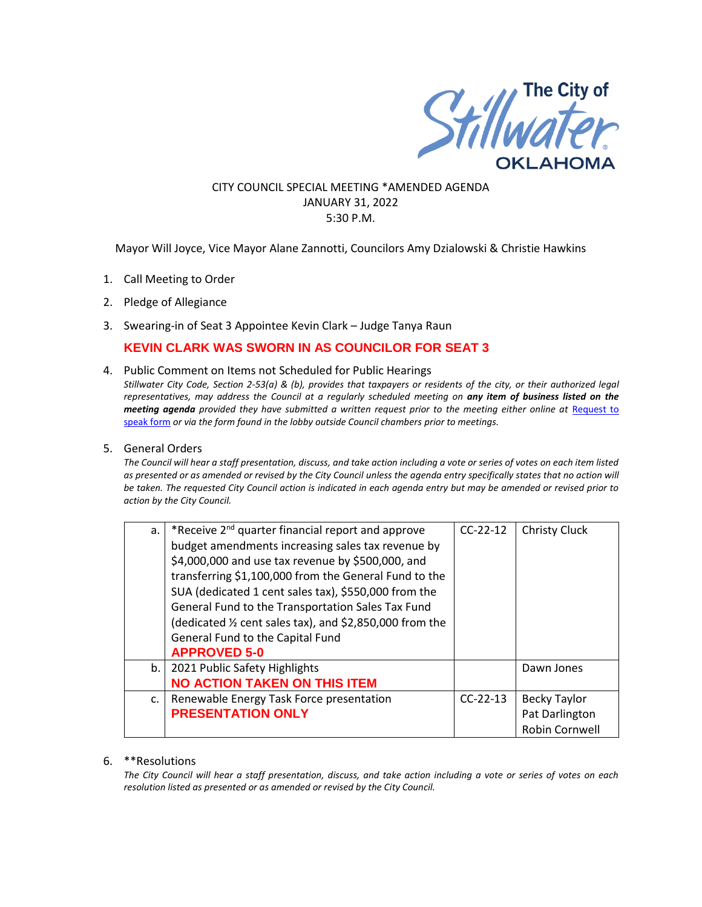

### CITY COUNCIL SPECIAL MEETING \*AMENDED AGENDA JANUARY 31, 2022 5:30 P.M.

Mayor Will Joyce, Vice Mayor Alane Zannotti, Councilors Amy Dzialowski & Christie Hawkins

- 1. Call Meeting to Order
- 2. Pledge of Allegiance
- 3. Swearing-in of Seat 3 Appointee Kevin Clark Judge Tanya Raun

# **KEVIN CLARK WAS SWORN IN AS COUNCILOR FOR SEAT 3**

- 4. Public Comment on Items not Scheduled for Public Hearings *Stillwater City Code, Section 2-53(a) & (b), provides that taxpayers or residents of the city, or their authorized legal representatives, may address the Council at a regularly scheduled meeting on any item of business listed on the meeting agenda provided they have submitted a written request prior to the meeting either online at Request to* [speak form](http://stillwater.org/page/home/government/mayor-city-council/meetings-agendas-minutes/online-request-to-speak-at-city-council) *or via the form found in the lobby outside Council chambers prior to meetings.*
- 5. General Orders

*The Council will hear a staff presentation, discuss, and take action including a vote or series of votes on each item listed as presented or as amended or revised by the City Council unless the agenda entry specifically states that no action will be taken. The requested City Council action is indicated in each agenda entry but may be amended or revised prior to action by the City Council.* 

| a. | *Receive 2 <sup>nd</sup> quarter financial report and approve | $CC-22-12$ | <b>Christy Cluck</b> |
|----|---------------------------------------------------------------|------------|----------------------|
|    | budget amendments increasing sales tax revenue by             |            |                      |
|    | \$4,000,000 and use tax revenue by \$500,000, and             |            |                      |
|    | transferring \$1,100,000 from the General Fund to the         |            |                      |
|    | SUA (dedicated 1 cent sales tax), \$550,000 from the          |            |                      |
|    | General Fund to the Transportation Sales Tax Fund             |            |                      |
|    | (dedicated 1/2 cent sales tax), and \$2,850,000 from the      |            |                      |
|    | General Fund to the Capital Fund                              |            |                      |
|    | <b>APPROVED 5-0</b>                                           |            |                      |
| b. | 2021 Public Safety Highlights                                 |            | Dawn Jones           |
|    | <b>NO ACTION TAKEN ON THIS ITEM</b>                           |            |                      |
| C. | Renewable Energy Task Force presentation                      | $CC-22-13$ | <b>Becky Taylor</b>  |
|    | <b>PRESENTATION ONLY</b>                                      |            | Pat Darlington       |
|    |                                                               |            | Robin Cornwell       |

#### 6. \*\*Resolutions

*The City Council will hear a staff presentation, discuss, and take action including a vote or series of votes on each resolution listed as presented or as amended or revised by the City Council.*